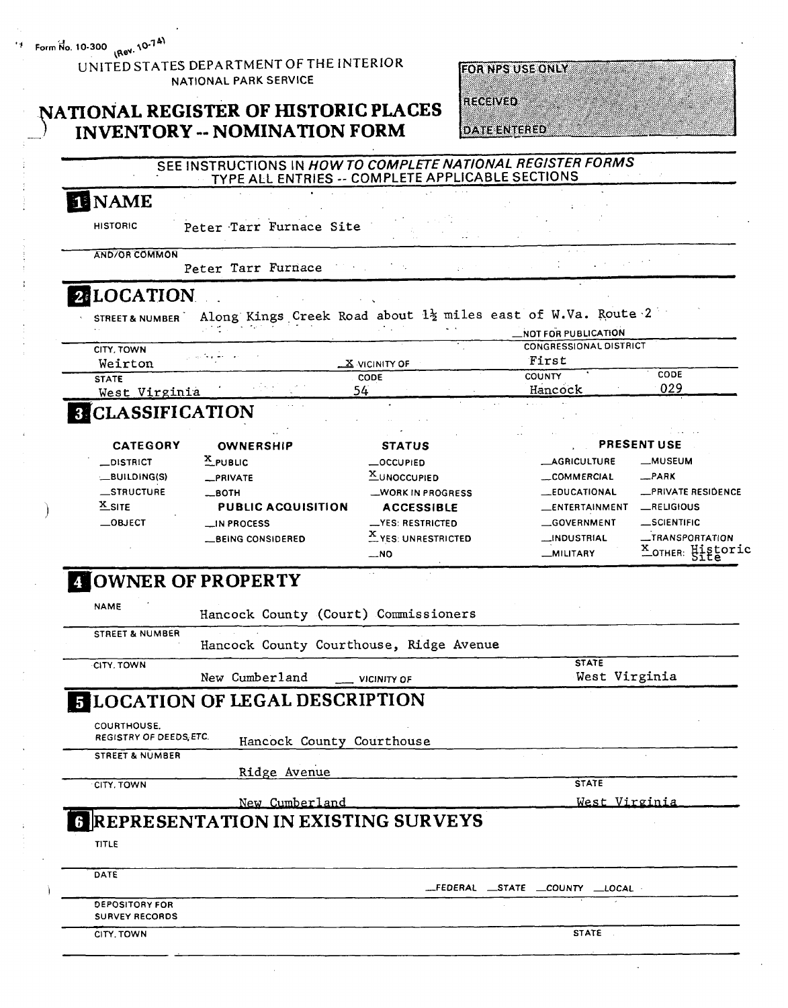'+ **Form do 10-300 ,Req, ,O-lb)** 

### UNITED STATES DEPARTMENT OF THE INTERIOR NATIONAL PARK SERVICE

# **ATIONAL REGISTER OF HISTORIC PLACES**<br> **A INVENTORY -- NOMINATION FORM**

#### FOR NPS USE ONLY

**RECEIVED** 

**DATE ENTERED** 

### SEE INSTRUCTIONS IN **HOW TO COMPLETENATIONAL REGISTER FORMS**  TYPE ALL ENTRIES -- COMPLETE APPLICABLE SECTIONS

# **R** NAME

HISTORIC Peter Tarr Furnace Site

AND/OR COMMON

Peter Tarr Furnace

### 2 LOCATION

STREET&NUMBER- Along Kings Creek Road about **1%** miles east of W.Va. Route **2** -

| _ _ _ _ _ _   |                   | $\sim$ $\sim$ | NOT FOR PUBLICATION           |      |
|---------------|-------------------|---------------|-------------------------------|------|
| CITY, TOWN    |                   |               | <b>CONGRESSIONAL DISTRICT</b> |      |
| Weirton       | $\_X$ VICINITY OF |               | First                         |      |
| <b>STATE</b>  | CODE              |               | <b>COUNTY</b>                 | CODE |
| West Virginia | 54                |               | Hancock                       | 029  |
|               |                   |               |                               |      |

# **CLASSIFICATION**

| <b>CATEGORY</b>      | OWNERSHIP                 | <b>STATUS</b>           |                       | <b>PRESENT USE</b>      |
|----------------------|---------------------------|-------------------------|-----------------------|-------------------------|
| $\equiv$ DISTRICT    | $X$ PUBLIC                | $\equiv$ OCCUPIED       | <b>AGRICULTURE</b>    | <b>_MUSEUM</b>          |
| $\equiv$ BUILDING(S) | _PRIVATE                  | <b>XUNOCCUPIED</b>      | _COMMERCIAL           | $R$ PARK                |
| $\equiv$ STRUCTURE   | $\equiv$ BOTH             | <b>WORK IN PROGRESS</b> | <b>EDUCATIONAL</b>    | _PRIVATE RESIDENCE      |
| $X$ SITE             | <b>PUBLIC ACQUISITION</b> | <b>ACCESSIBLE</b>       | <b>LENTERTAINMENT</b> | RELIGIOUS               |
| $\equiv$ OBJECT      | <b>LIN PROCESS</b>        | -YES: RESTRICTED        | GOVERNMENT            | $\_$ SCIENTIFIC         |
|                      | _BEING CONSIDERED         | $X$ YES: UNRESTRICTED   | __INDUSTRIAL          | <i>__TRANSPORTATION</i> |
|                      |                           | $-NO$                   | <b>MILITARY</b>       | X_отнєв: Historic       |
|                      |                           | $\ddotsc$               |                       | $\cdots$                |

# *COWNER OF PROPERTY*

| <b>NAME</b>                                  | Hancock County (Court) Commissioners        |                                    |
|----------------------------------------------|---------------------------------------------|------------------------------------|
| <b>STREET &amp; NUMBER</b>                   | Hancock County Courthouse, Ridge Avenue     |                                    |
| CITY, TOWN                                   | New Cumberland<br>VICINITY OF               | <b>STATE</b><br>West Virginia      |
|                                              | <b>SLOCATION OF LEGAL DESCRIPTION</b>       |                                    |
| COURTHOUSE.<br><b>REGISTRY OF DEEDS ETC.</b> | Hancock County Courthouse                   |                                    |
| <b>STREET &amp; NUMBER</b>                   |                                             |                                    |
|                                              | Ridge Avenue                                |                                    |
| <b>CITY, TOWN</b>                            |                                             | <b>STATE</b>                       |
|                                              | New Cumberland                              | West Virginia                      |
|                                              | <b>5 REPRESENTATION IN EXISTING SURVEYS</b> |                                    |
| <b>TITLE</b>                                 |                                             |                                    |
| DATE                                         |                                             |                                    |
|                                              |                                             | __FEDERAL __STATE __COUNTY __LOCAL |
| DEPOSITORY FOR                               |                                             |                                    |
| <b>SURVEY RECORDS</b><br>CITY, TOWN          |                                             | <b>STATE</b>                       |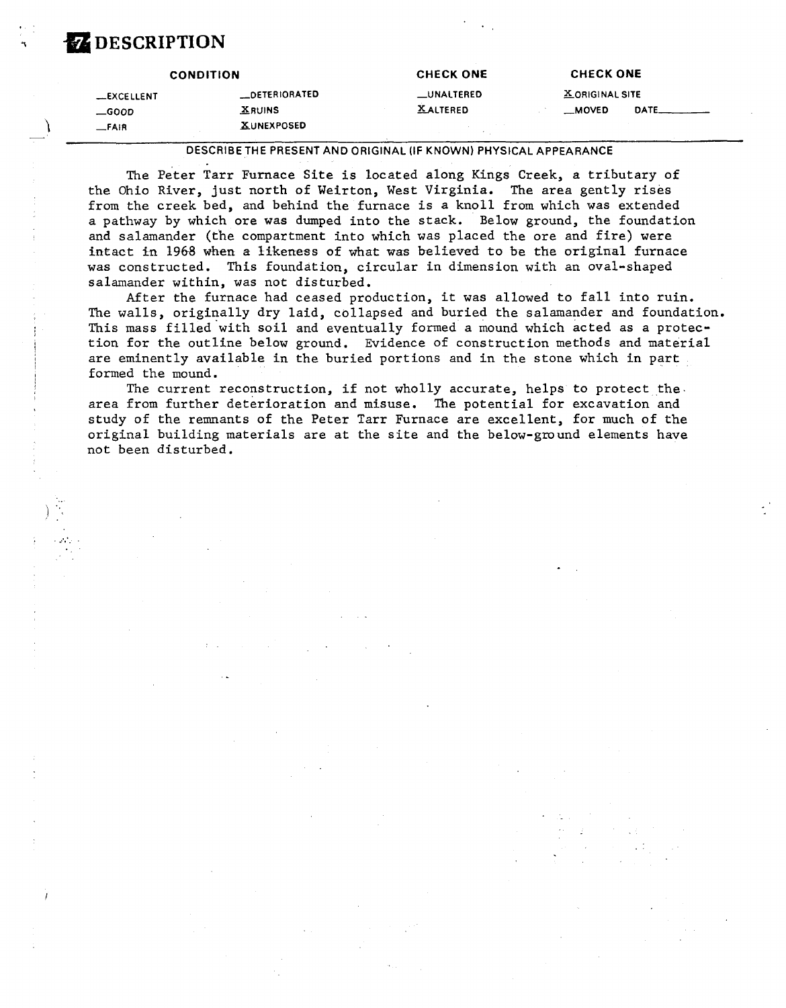# **ZE DESCRIPTION**

|            | <b>CONDITION</b>     | <b>CHECK ONE</b>  | <b>CHECK ONE</b> |       |
|------------|----------------------|-------------------|------------------|-------|
| -EXCELLENT | <b>LOETERIORATED</b> | <b>LUNALTERED</b> | X ORIGINAL SITE  |       |
| $-$ GOOD   | <b>XRUINS</b>        | <b>XALTERED</b>   | $_M$ OVED        | DATE_ |
| $-FAIR$    | <b>XUNEXPOSED</b>    |                   |                  |       |

#### **DESCRIBE THE PRESENT AND ORIGINAL (IF KNOWN) PHYSICAL APPEARANCE**

The Peter Tarr Furnace Site is located along Kings Creek, a tributary of the Ohio River, just north of Weirton, West Virginia. The area gently rises from the creek bed, and behind the furnace is a knoll from which was extended a pathway by which ore was dumped into the stack. Below ground, the foundation and salamander (the compartment into which was placed the ore and fire) were intact in 1968 when a likeness of what was believed to be the original furnace was constructed. This foundation, circular in dimension with an oval-shaped salamander within, was not disturbed.

After the furnace had ceased production, it was allowed to fall into ruin. The walls, originally dry laid, collapsed and buried the salamander and foundation. This mass filled'with soil and eventually formed a mound which acted as a protection for the outline below ground. Evidence of construction methods and material are eminently available in the buried portions and in the stone which in part formed the mound.

The current reconstruction, if not wholly accurate, helps to protect the area from further deterioration and misuse. The potential for excavation and study of the remnants of the Peter Tarr Furnace are excellent, for much of the original building materials are at the site and the below-ground elements have not been disturbed.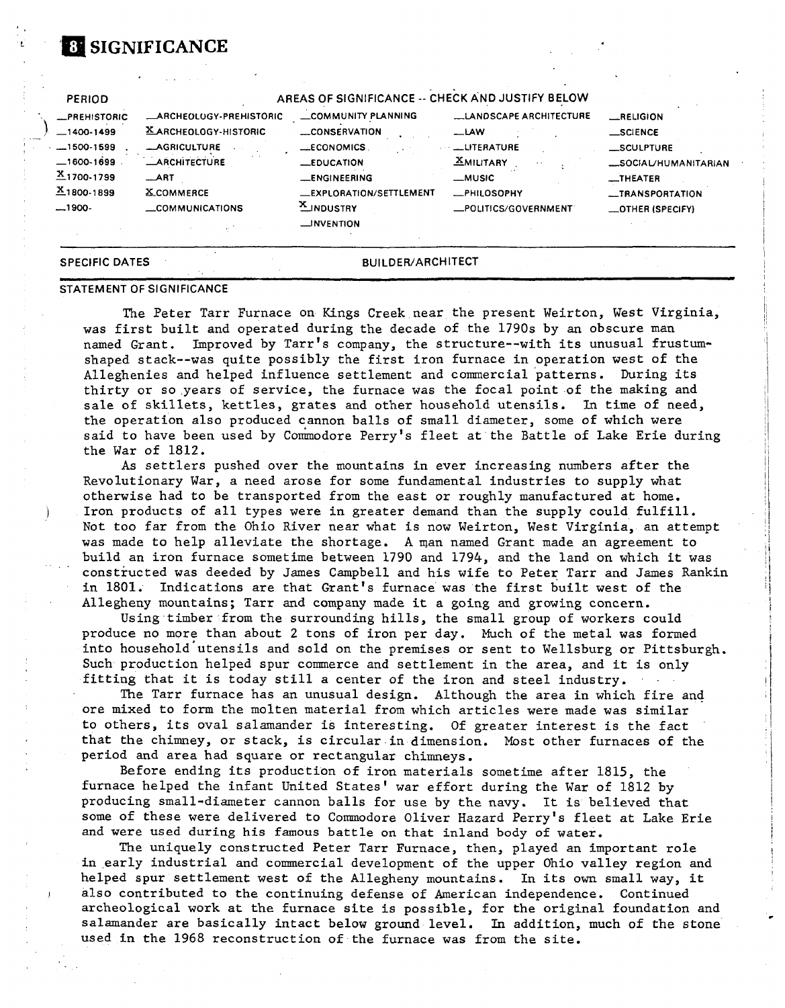# **8 SIGNIFICANCE**

#### AREAS OF SIGNIFICANCE -- CHECK AND JUSTIFY BELOW

| .                   |                               |                                |                               |                                  |
|---------------------|-------------------------------|--------------------------------|-------------------------------|----------------------------------|
| <b>_PREHISTORIC</b> | <b>ARCHEOLOGY-PREHISTORIC</b> | _COMMUNITY PLANNING            | <b>LANDSCAPE ARCHITECTURE</b> | RELIGION                         |
| $-1400-1499$        | XARCHEOLOGY-HISTORIC          | <b>LONSERVATION</b>            | <b>LAW</b>                    | _SCIENCE                         |
| $-1500-1599$        | <b>_AGRICULTURE</b>           | <b>LECONOMICS</b>              | <b>LITERATURE</b>             | SCULPTURE                        |
| $-1600-1699$        | <b>ARCHITECTURE</b>           | <b>EDUCATION</b>               | <b>XMILITARY</b>              | _SOCIAL/HUMANITARIAN             |
| $X_{1700-1799}$     | $\_ART$                       | <b>_ENGINEERING</b>            | MUSIC                         | $\overline{\phantom{a}}$ THEATER |
| $X_{1800-1899}$     | <b>X</b> COMMERCE             | <b>LEXPLORATION/SETTLEMENT</b> | -PHILOSOPHY                   | __TRANSPORTATION                 |
| $-1900-$            | <b>COMMUNICATIONS</b>         | X_INDUSTRY                     | -POLITICS/GOVERNMENT          | <b>COTHER (SPECIFY)</b>          |
|                     |                               | $\sqcup$ NVENTION              |                               |                                  |
|                     |                               |                                |                               |                                  |

#### **SPECIFIC DATES**

#### **BUILDER/ARCHITECT**

#### **STATEMENT OF SIGNIFICANCE**

The Peter Tarr Furnace on Kings Creek near the present Weirton, West Virginia, was first built and operated during the decade of the 1790s by an obscure man named Grant. Improved by Tarr's company, the structure--with its unusual frustumshaped stack--was quite possibly the first iron furnace in operation west of the Alleghenies and helped influence settlement and commercial patterns. During its thirty or so years of service, the furnace was the focal point of the making and sale of skillets, kettles, grates and other household utensils. In time of need, the operation also produced cannon balls of small diameter, some of which were said to have been used by Commodore Perry's fleet at the Battle of Lake Erie during the War of 1812.

As settlers pushed over the mountains in ever increasing numbers after the Revolutionary War, a need arose for some fundamental industries to supply what otherwise had to be transported from the east or roughly manufactured at home. Iron products of all types were in greater demand than the supply could fulfill. Not too far from the Ohio River near what is now Weirton, West Virginia, an attempt was made to help alleviate the shortage. A man named Grant made an agreement to build an iron furnace sometime between 1790 and 1794, and the land on which it was constructed was deeded by James Campbell and his wife to Peter Tarr and James Rankin in 1801. Indications are that Grant's furnace was the first built west of the Allegheny mountains; Tarr and company made it a going and growing concern.

Using timber from the surrounding hills, the small group of workers could produce no more than about 2 tons of iron per day. Much of the metal was formed into household utensils and sold on the premises or sent to Wellsburg or Pittsburgh. Such production helped spur commerce and settlement in the area, and it is only fitting that it is today still a center of the iron and steel industry.

The Tarr furnace has an unusual design. Although the area in which fire and ore mixed to form the molten material from which articles were made was similar to others, its oval salamander is interesting. Of greater interest is the fact that the chimney, or stack, is circular in dimension. Most other furnaces of the period and area had square or rectangular chimneys.

Before ending its production of iron materials sometime after 1815, the furnace helped the infant United States' war effort during the War of 1812 by producing small-diameter cannon balls for use by the navy. It is believed that some of these were delivered to Commodore Oliver Hazard Perry's fleet at Lake Erie and were used during his famous battle on that inland body of water.

The uniquely constructed Peter Tarr Furnace, then, played an important role in early industrial and commercial development of the upper Ohio valley region and helped spur settlement west of the Allegheny mountains. In its own small way, it also contributed to the continuing defense of American independence. Continued archeological work at the furnace site is possible, for the original foundation and salamander are basically intact below ground level. In addition, much of the stone used in the 1968 reconstruction of the furnace was from the site.

PERIOD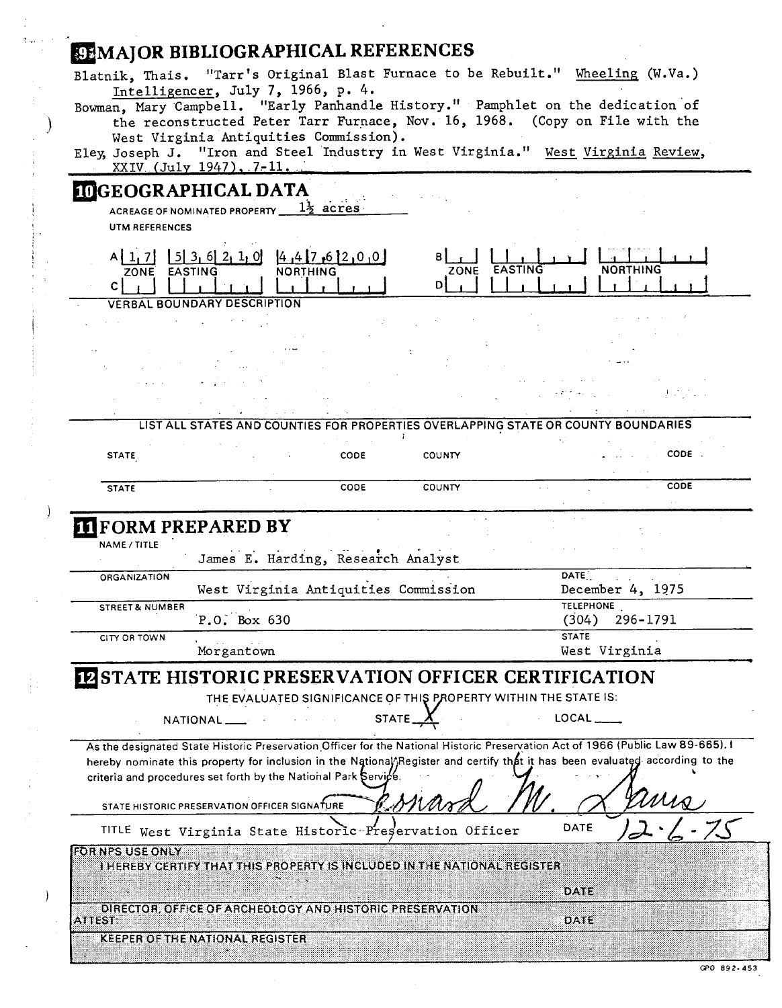# **EEMAJOR BIBLIOGRAPHICAL REFERENCES**

Blatnik, Thais. "Tarr's Original Blast Furnace to be Rebuilt." Wheeling (W.Va.) Intelligencer, July 7, 1966, p. 4. Bowman, Mary Campbell. "Early Panhandle History." Pamphlet on the dedication of the reconstructed Peter Tarr Furnace, Nov. 16, 1968. (Copy on File with the West Virginia Antiquities Commission).

Eley, Joseph J. "Iron and Steel Industry in West Virginia." West Virginia Review, XXIV (July 1947), 7-11.

# **IDGEOGRAPHICAL DATA**

ACREAGE OF NOMINATED PROPERTY  $1\frac{1}{2}$  acres **UTM REFERENCES** 

| 0l<br>AI<br>.<br>- 1               | ا ٥،٥١.<br>Ι4.  |                        |                 |
|------------------------------------|-----------------|------------------------|-----------------|
| <b>EASTING</b><br>ZONE             | <b>NORTHING</b> | EASTING<br><b>ZONE</b> | <b>NORTHING</b> |
|                                    |                 |                        |                 |
| <b>VERBAL BOUNDARY DESCRIPTION</b> |                 |                        |                 |

LIST ALL STATES AND COUNTIES FOR PROPERTIES OVERLAPPING STATE OR COUNTY BOUNDARIES

| <b>STATE</b> | CODE | <b>COUNTY</b> | CODE.<br>.              |
|--------------|------|---------------|-------------------------|
|              |      |               |                         |
| <b>STATE</b> | сорє | <b>COUNTY</b> | CODE<br>$\cdot$ $\cdot$ |

# **FORM PREPARED BY**

NAME / TITLE

James E. Harding, Research Analyst

| <b>ORGANIZATION</b>        |                                      | <b>DATE</b>       |
|----------------------------|--------------------------------------|-------------------|
|                            | West Virginia Antiquities Commission | December 4, 1975  |
| <b>STREET &amp; NUMBER</b> |                                      | <b>TELEPHONE</b>  |
|                            | $P.0.$ Box 630                       | (304)<br>296-1791 |
| <b>CITY OR TOWN</b>        |                                      | <b>STATE</b>      |
|                            | Morgantown                           | West Virginia     |

# **ESTATE HISTORIC PRESERVATION OFFICER CERTIFICATION**

THE EVALUATED SIGNIFICANCE OF THIS PROPERTY WITHIN THE STATE IS:

| <b>NATIONAL</b> |  |  |
|-----------------|--|--|
|                 |  |  |

As the designated State Historic Preservation Officer for the National Historic Preservation Act of 1966 (Public Law 89-665), I hereby nominate this property for inclusion in the National/Register and certify that it has been evaluated according to the criteria and procedures set forth by the National Park Service.

STATE\_

STATE HISTORIC PRESERVATION OFFICER SIGNATURE

TITLE West Virginia State Historic-Preservation Officer

FOR NPS USE ONLY I HEREBY CERTIFY THAT THIS PROPERTY IS INCLUDED IN THE NATIONAL REGISTER

DATE

**DATE** 

DATE

LOCAL.

DIRECTOR, OFFICE OF ARCHEOLOGY AND HISTORIC PRESERVATION ATTEST:

**KEEPER OF THE NATIONAL REGISTER**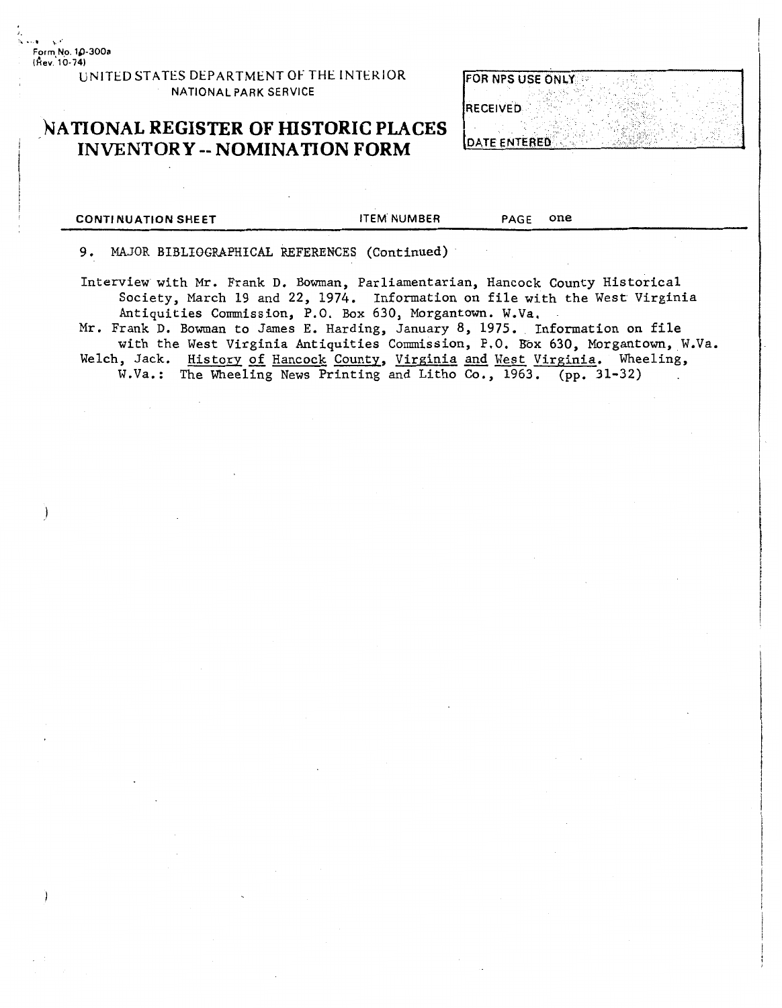### UNITED STATES DEPARTMENT OF THE INTERIOR **NATIONAL PARK SERVICE**

### **~ATIONAL REGISTER OF HISTORIC PLACES**  <sup>i</sup>**INVENTORY** -- **NOMINATION FORM**



**CONTINUATION SHEET THEM' NUMBER PAGE ONE** 

9. MAJOR BIBLIOGRAPHICAL REFERENCES (Continued)

Interview with Mr. Frank D. Bowman, Parliamentarian, Hancock County Historical Society, March 19 and 22, 1974. Information on file with the West Virginia Antiquities Commission, P.O. Box 630, Morgantown. W.Va.

Mr. Frank D. Bowman to James E. Harding, January 8, 1975. Information on file with the West Virginia Antiquities Commission, P.O. Box 630, Morgantown, W.Va.

Welch, Jack. History of Hancock County, Virginia and West Virginia. Wheeling, W.Va.: The Wheeling News Printing and Litho Co., 1963. (pp. 31-32)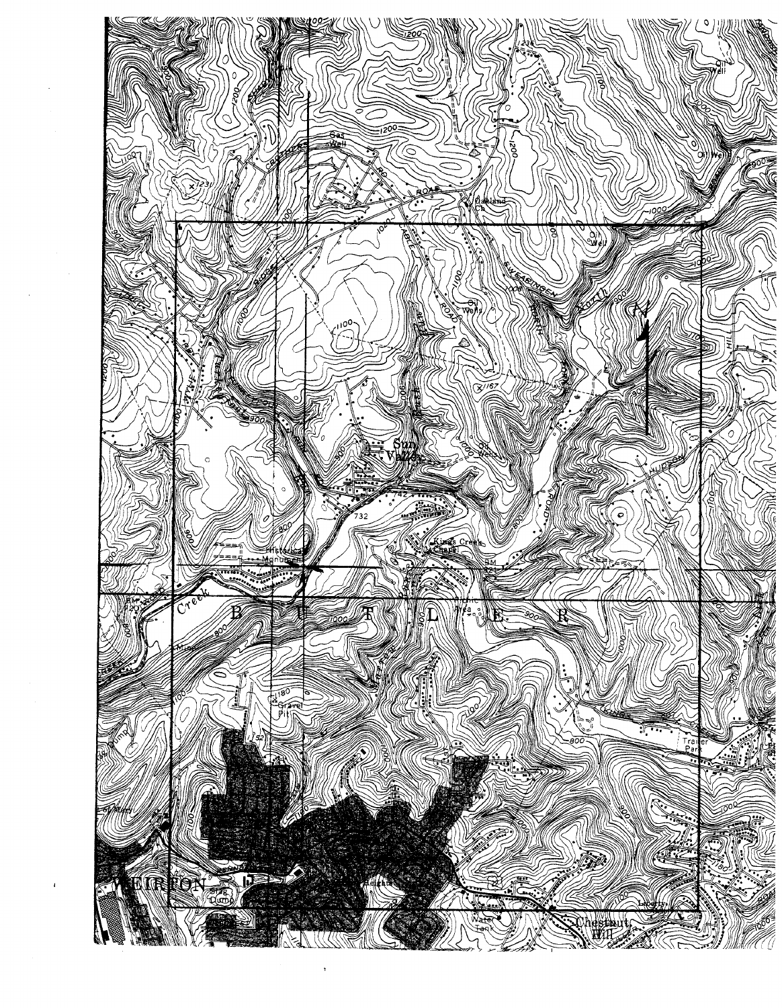